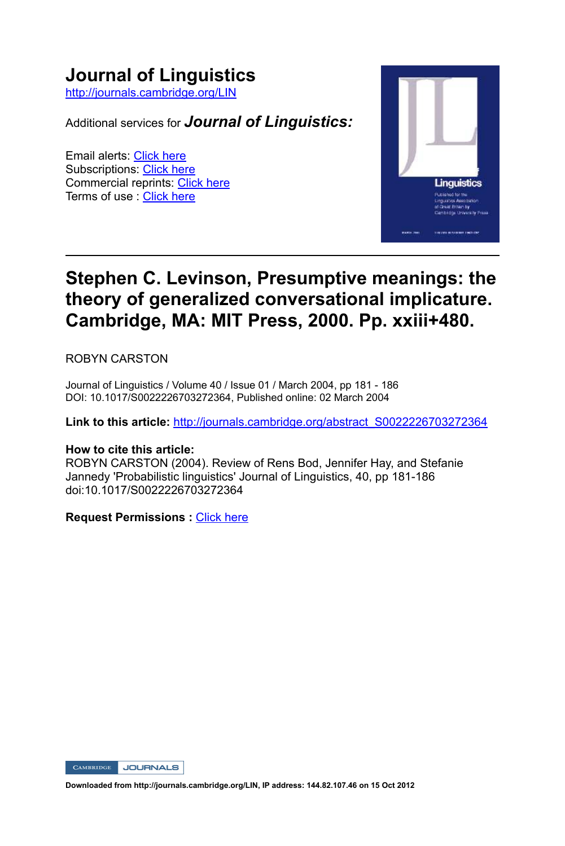# **Journal of Linguistics**

http://journals.cambridge.org/LIN

Additional services for *Journal of Linguistics:*

Email alerts: Click here Subscriptions: Click here Commercial reprints: Click here Terms of use : Click here



## **Stephen C. Levinson, Presumptive meanings: the theory of generalized conversational implicature. Cambridge, MA: MIT Press, 2000. Pp. xxiii+480.**

ROBYN CARSTON

Journal of Linguistics / Volume 40 / Issue 01 / March 2004, pp 181 - 186 DOI: 10.1017/S0022226703272364, Published online: 02 March 2004

**Link to this article:** http://journals.cambridge.org/abstract\_S0022226703272364

### **How to cite this article:**

ROBYN CARSTON (2004). Review of Rens Bod, Jennifer Hay, and Stefanie Jannedy 'Probabilistic linguistics' Journal of Linguistics, 40, pp 181-186 doi:10.1017/S0022226703272364

**Request Permissions :** Click here

CAMBRIDGE JOURNALS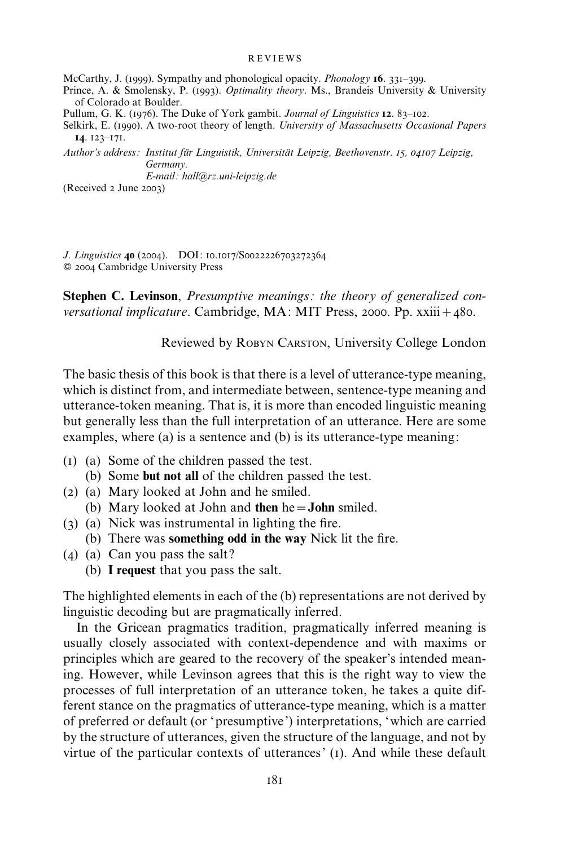#### REVIEWS

McCarthy, J. (1999). Sympathy and phonological opacity. *Phonology* 16. 331–399.

Prince, A. & Smolensky, P. (1993). Optimality theory. Ms., Brandeis University & University of Colorado at Boulder.

Pullum, G. K. (1976). The Duke of York gambit. Journal of Linguistics 12. 83–102.

Selkirk, E. (1990). A two-root theory of length. University of Massachusetts Occasional Papers 14. 123–171.

Author's address: Institut für Linguistik, Universität Leipzig, Beethovenstr. 15, 04107 Leipzig, Germany.

E-mail: hall@rz.uni-leipzig.de

(Received 2 June 2003)

J. Linguistics 40 (2004). DOI: 10.1017/S0022226703272364  $©$  2004 Cambridge University Press

Stephen C. Levinson, Presumptive meanings: the theory of generalized conversational implicature. Cambridge, MA: MIT Press, 2000. Pp.  $xxiii + 480$ .

Reviewed by ROBYN CARSTON, University College London

The basic thesis of this book is that there is a level of utterance-type meaning, which is distinct from, and intermediate between, sentence-type meaning and utterance-token meaning. That is, it is more than encoded linguistic meaning but generally less than the full interpretation of an utterance. Here are some examples, where (a) is a sentence and (b) is its utterance-type meaning:

- (1) (a) Some of the children passed the test.
	- (b) Some but not all of the children passed the test.
- (2) (a) Mary looked at John and he smiled.
- (b) Mary looked at John and then he=John smiled.
- (3) (a) Nick was instrumental in lighting the fire.
	- (b) There was something odd in the way Nick lit the fire.
- (4) (a) Can you pass the salt?
	- (b) I request that you pass the salt.

The highlighted elements in each of the (b) representations are not derived by linguistic decoding but are pragmatically inferred.

In the Gricean pragmatics tradition, pragmatically inferred meaning is usually closely associated with context-dependence and with maxims or principles which are geared to the recovery of the speaker's intended meaning. However, while Levinson agrees that this is the right way to view the processes of full interpretation of an utterance token, he takes a quite different stance on the pragmatics of utterance-type meaning, which is a matter of preferred or default (or 'presumptive') interpretations, 'which are carried by the structure of utterances, given the structure of the language, and not by virtue of the particular contexts of utterances' (1). And while these default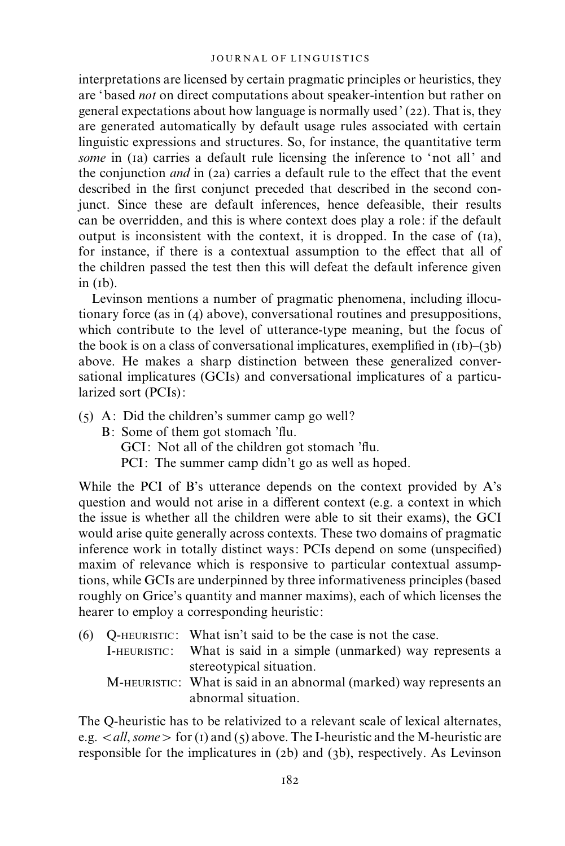interpretations are licensed by certain pragmatic principles or heuristics, they are 'based not on direct computations about speaker-intention but rather on general expectations about how language is normally used' (22). That is, they are generated automatically by default usage rules associated with certain linguistic expressions and structures. So, for instance, the quantitative term some in (1a) carries a default rule licensing the inference to 'not all' and the conjunction and in (2a) carries a default rule to the effect that the event described in the first conjunct preceded that described in the second conjunct. Since these are default inferences, hence defeasible, their results can be overridden, and this is where context does play a role: if the default output is inconsistent with the context, it is dropped. In the case of (1a), for instance, if there is a contextual assumption to the effect that all of the children passed the test then this will defeat the default inference given  $in (1b)$ .

Levinson mentions a number of pragmatic phenomena, including illocutionary force (as in (4) above), conversational routines and presuppositions, which contribute to the level of utterance-type meaning, but the focus of the book is on a class of conversational implicatures, exemplified in  $(b)$ – $(3b)$ above. He makes a sharp distinction between these generalized conversational implicatures (GCIs) and conversational implicatures of a particularized sort (PCIs):

- (5) A: Did the children's summer camp go well?
	- B: Some of them got stomach 'flu. GCI: Not all of the children got stomach 'flu. PCI: The summer camp didn't go as well as hoped.

While the PCI of B's utterance depends on the context provided by A's question and would not arise in a different context (e.g. a context in which the issue is whether all the children were able to sit their exams), the GCI would arise quite generally across contexts. These two domains of pragmatic inference work in totally distinct ways: PCIs depend on some (unspecified) maxim of relevance which is responsive to particular contextual assumptions, while GCIs are underpinned by three informativeness principles (based roughly on Grice's quantity and manner maxims), each of which licenses the hearer to employ a corresponding heuristic:

(6) Q-HEURISTIC : What isn't said to be the case is not the case. I-HEURISTIC: What is said in a simple (unmarked) way represents a stereotypical situation. M-HEURISTIC: What is said in an abnormal (marked) way represents an abnormal situation.

The Q-heuristic has to be relativized to a relevant scale of lexical alternates, e.g.  $\langle \text{all}, \text{some} \rangle$  for (1) and (5) above. The I-heuristic and the M-heuristic are responsible for the implicatures in (2b) and (3b), respectively. As Levinson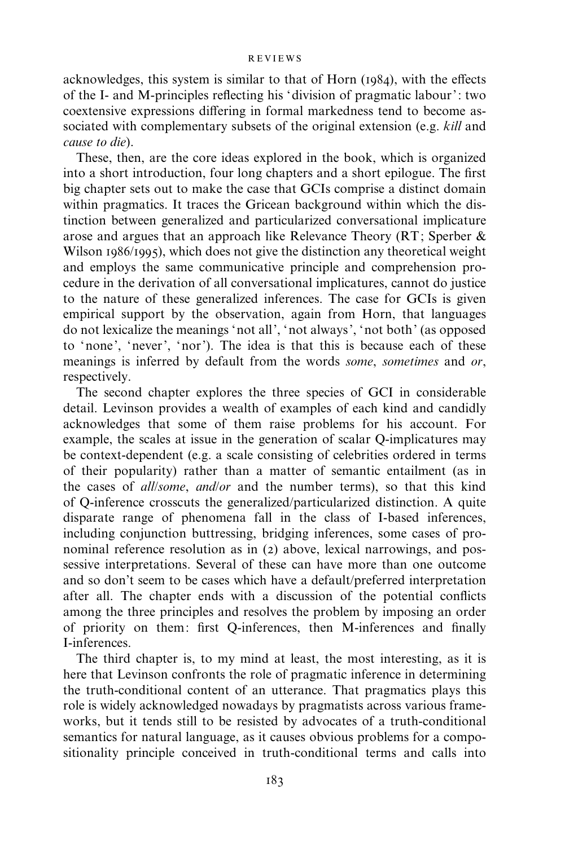#### REVIEWS

acknowledges, this system is similar to that of Horn (1984), with the effects of the I- and M-principles reflecting his 'division of pragmatic labour': two coextensive expressions differing in formal markedness tend to become associated with complementary subsets of the original extension (e.g. *kill* and cause to die).

These, then, are the core ideas explored in the book, which is organized into a short introduction, four long chapters and a short epilogue. The first big chapter sets out to make the case that GCIs comprise a distinct domain within pragmatics. It traces the Gricean background within which the distinction between generalized and particularized conversational implicature arose and argues that an approach like Relevance Theory (RT; Sperber & Wilson 1986/1995), which does not give the distinction any theoretical weight and employs the same communicative principle and comprehension procedure in the derivation of all conversational implicatures, cannot do justice to the nature of these generalized inferences. The case for GCIs is given empirical support by the observation, again from Horn, that languages do not lexicalize the meanings 'not all', 'not always', 'not both' (as opposed to 'none', 'never', 'nor'). The idea is that this is because each of these meanings is inferred by default from the words some, sometimes and or, respectively.

The second chapter explores the three species of GCI in considerable detail. Levinson provides a wealth of examples of each kind and candidly acknowledges that some of them raise problems for his account. For example, the scales at issue in the generation of scalar Q-implicatures may be context-dependent (e.g. a scale consisting of celebrities ordered in terms of their popularity) rather than a matter of semantic entailment (as in the cases of all/some, and/or and the number terms), so that this kind of Q-inference crosscuts the generalized/particularized distinction. A quite disparate range of phenomena fall in the class of I-based inferences, including conjunction buttressing, bridging inferences, some cases of pronominal reference resolution as in (2) above, lexical narrowings, and possessive interpretations. Several of these can have more than one outcome and so don't seem to be cases which have a default/preferred interpretation after all. The chapter ends with a discussion of the potential conflicts among the three principles and resolves the problem by imposing an order of priority on them: first Q-inferences, then M-inferences and finally I-inferences.

The third chapter is, to my mind at least, the most interesting, as it is here that Levinson confronts the role of pragmatic inference in determining the truth-conditional content of an utterance. That pragmatics plays this role is widely acknowledged nowadays by pragmatists across various frameworks, but it tends still to be resisted by advocates of a truth-conditional semantics for natural language, as it causes obvious problems for a compositionality principle conceived in truth-conditional terms and calls into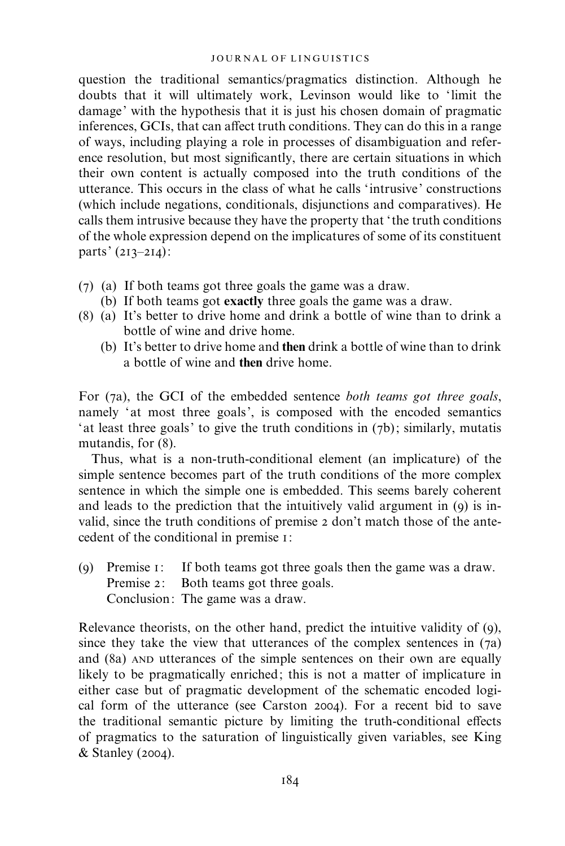question the traditional semantics/pragmatics distinction. Although he doubts that it will ultimately work, Levinson would like to 'limit the damage' with the hypothesis that it is just his chosen domain of pragmatic inferences, GCIs, that can affect truth conditions. They can do this in a range of ways, including playing a role in processes of disambiguation and reference resolution, but most significantly, there are certain situations in which their own content is actually composed into the truth conditions of the utterance. This occurs in the class of what he calls 'intrusive' constructions (which include negations, conditionals, disjunctions and comparatives). He calls them intrusive because they have the property that 'the truth conditions of the whole expression depend on the implicatures of some of its constituent parts' (213–214):

- (7) (a) If both teams got three goals the game was a draw.
	- (b) If both teams got exactly three goals the game was a draw.
- (8) (a) It's better to drive home and drink a bottle of wine than to drink a bottle of wine and drive home.
	- (b) It's better to drive home and then drink a bottle of wine than to drink a bottle of wine and then drive home.

For (7a), the GCI of the embedded sentence both teams got three goals, namely 'at most three goals', is composed with the encoded semantics 'at least three goals' to give the truth conditions in (7b); similarly, mutatis mutandis, for (8).

Thus, what is a non-truth-conditional element (an implicature) of the simple sentence becomes part of the truth conditions of the more complex sentence in which the simple one is embedded. This seems barely coherent and leads to the prediction that the intuitively valid argument in (9) is invalid, since the truth conditions of premise 2 don't match those of the antecedent of the conditional in premise 1:

(9) Premise 1: If both teams got three goals then the game was a draw. Premise 2: Both teams got three goals. Conclusion: The game was a draw.

Relevance theorists, on the other hand, predict the intuitive validity of (9), since they take the view that utterances of the complex sentences in  $(7a)$ and (8a) AND utterances of the simple sentences on their own are equally likely to be pragmatically enriched; this is not a matter of implicature in either case but of pragmatic development of the schematic encoded logical form of the utterance (see Carston 2004). For a recent bid to save the traditional semantic picture by limiting the truth-conditional effects of pragmatics to the saturation of linguistically given variables, see King & Stanley (2004).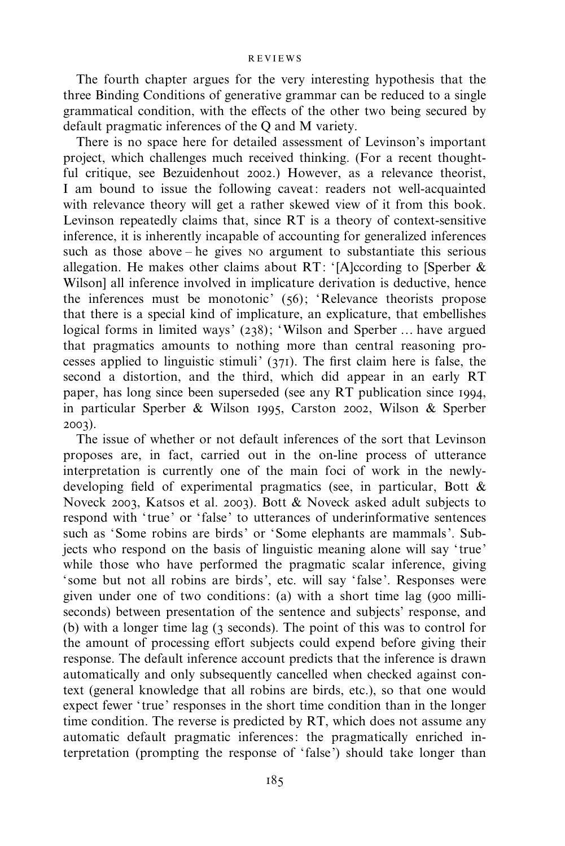#### REVIEWS

The fourth chapter argues for the very interesting hypothesis that the three Binding Conditions of generative grammar can be reduced to a single grammatical condition, with the effects of the other two being secured by default pragmatic inferences of the Q and M variety.

There is no space here for detailed assessment of Levinson's important project, which challenges much received thinking. (For a recent thoughtful critique, see Bezuidenhout 2002.) However, as a relevance theorist, I am bound to issue the following caveat: readers not well-acquainted with relevance theory will get a rather skewed view of it from this book. Levinson repeatedly claims that, since RT is a theory of context-sensitive inference, it is inherently incapable of accounting for generalized inferences such as those above – he gives NO argument to substantiate this serious allegation. He makes other claims about RT: '[A]ccording to [Sperber & Wilson] all inference involved in implicature derivation is deductive, hence the inferences must be monotonic' (56); 'Relevance theorists propose that there is a special kind of implicature, an explicature, that embellishes logical forms in limited ways' (238); 'Wilson and Sperber … have argued that pragmatics amounts to nothing more than central reasoning processes applied to linguistic stimuli'  $(371)$ . The first claim here is false, the second a distortion, and the third, which did appear in an early RT paper, has long since been superseded (see any RT publication since 1994, in particular Sperber & Wilson 1995, Carston 2002, Wilson & Sperber 2003).

The issue of whether or not default inferences of the sort that Levinson proposes are, in fact, carried out in the on-line process of utterance interpretation is currently one of the main foci of work in the newlydeveloping field of experimental pragmatics (see, in particular, Bott & Noveck 2003, Katsos et al. 2003). Bott & Noveck asked adult subjects to respond with 'true' or 'false' to utterances of underinformative sentences such as 'Some robins are birds' or 'Some elephants are mammals'. Subjects who respond on the basis of linguistic meaning alone will say 'true' while those who have performed the pragmatic scalar inference, giving 'some but not all robins are birds', etc. will say 'false'. Responses were given under one of two conditions: (a) with a short time lag (900 milliseconds) between presentation of the sentence and subjects' response, and (b) with a longer time lag (3 seconds). The point of this was to control for the amount of processing effort subjects could expend before giving their response. The default inference account predicts that the inference is drawn automatically and only subsequently cancelled when checked against context (general knowledge that all robins are birds, etc.), so that one would expect fewer 'true' responses in the short time condition than in the longer time condition. The reverse is predicted by RT, which does not assume any automatic default pragmatic inferences: the pragmatically enriched interpretation (prompting the response of 'false') should take longer than